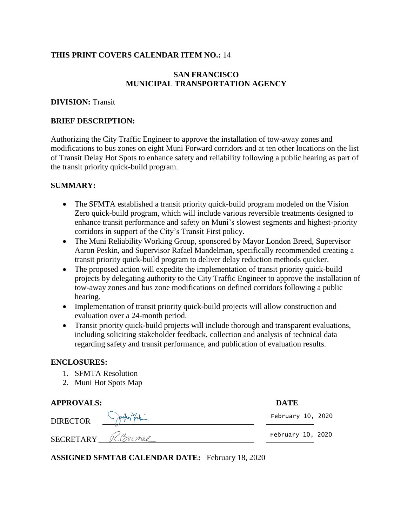#### **THIS PRINT COVERS CALENDAR ITEM NO.:** 14

## **SAN FRANCISCO MUNICIPAL TRANSPORTATION AGENCY**

#### **DIVISION:** Transit

#### **BRIEF DESCRIPTION:**

Authorizing the City Traffic Engineer to approve the installation of tow-away zones and modifications to bus zones on eight Muni Forward corridors and at ten other locations on the list of Transit Delay Hot Spots to enhance safety and reliability following a public hearing as part of the transit priority quick-build program.

#### **SUMMARY:**

- The SFMTA established a transit priority quick-build program modeled on the Vision Zero quick-build program, which will include various reversible treatments designed to enhance transit performance and safety on Muni's slowest segments and highest-priority corridors in support of the City's Transit First policy.
- The Muni Reliability Working Group, sponsored by Mayor London Breed, Supervisor Aaron Peskin, and Supervisor Rafael Mandelman, specifically recommended creating a transit priority quick-build program to deliver delay reduction methods quicker.
- The proposed action will expedite the implementation of transit priority quick-build projects by delegating authority to the City Traffic Engineer to approve the installation of tow-away zones and bus zone modifications on defined corridors following a public hearing.
- Implementation of transit priority quick-build projects will allow construction and evaluation over a 24-month period.
- Transit priority quick-build projects will include thorough and transparent evaluations, including soliciting stakeholder feedback, collection and analysis of technical data regarding safety and transit performance, and publication of evaluation results.

#### **ENCLOSURES:**

- 1. SFMTA Resolution
- 2. Muni Hot Spots Map

| <b>APPROVALS:</b>  |            | <b>DATE</b>       |
|--------------------|------------|-------------------|
| <b>DIRECTOR</b>    | proportion | February 10, 2020 |
| SECRETARY R.Boomer |            | February 10, 2020 |

**ASSIGNED SFMTAB CALENDAR DATE:** February 18, 2020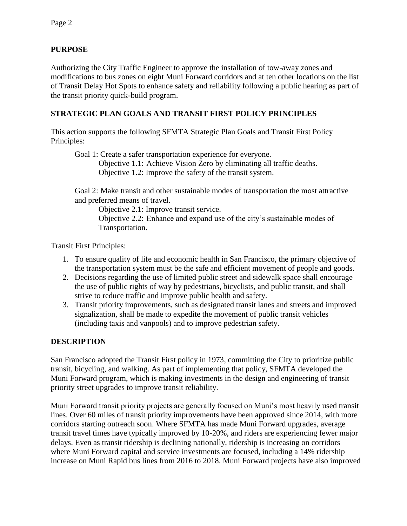# **PURPOSE**

Authorizing the City Traffic Engineer to approve the installation of tow-away zones and modifications to bus zones on eight Muni Forward corridors and at ten other locations on the list of Transit Delay Hot Spots to enhance safety and reliability following a public hearing as part of the transit priority quick-build program.

# **STRATEGIC PLAN GOALS AND TRANSIT FIRST POLICY PRINCIPLES**

This action supports the following SFMTA Strategic Plan Goals and Transit First Policy Principles:

Goal 1: Create a safer transportation experience for everyone.

Objective 1.1: Achieve Vision Zero by eliminating all traffic deaths.

Objective 1.2: Improve the safety of the transit system.

Goal 2: Make transit and other sustainable modes of transportation the most attractive and preferred means of travel.

Objective 2.1: Improve transit service. Objective 2.2: Enhance and expand use of the city's sustainable modes of

Transportation.

Transit First Principles:

- 1. To ensure quality of life and economic health in San Francisco, the primary objective of the transportation system must be the safe and efficient movement of people and goods.
- 2. Decisions regarding the use of limited public street and sidewalk space shall encourage the use of public rights of way by pedestrians, bicyclists, and public transit, and shall strive to reduce traffic and improve public health and safety.
- 3. Transit priority improvements, such as designated transit lanes and streets and improved signalization, shall be made to expedite the movement of public transit vehicles (including taxis and vanpools) and to improve pedestrian safety.

# **DESCRIPTION**

San Francisco adopted the Transit First policy in 1973, committing the City to prioritize public transit, bicycling, and walking. As part of implementing that policy, SFMTA developed the Muni Forward program, which is making investments in the design and engineering of transit priority street upgrades to improve transit reliability.

Muni Forward transit priority projects are generally focused on Muni's most heavily used transit lines. Over 60 miles of transit priority improvements have been approved since 2014, with more corridors starting outreach soon. Where SFMTA has made Muni Forward upgrades, average transit travel times have typically improved by 10-20%, and riders are experiencing fewer major delays. Even as transit ridership is declining nationally, ridership is increasing on corridors where Muni Forward capital and service investments are focused, including a 14% ridership increase on Muni Rapid bus lines from 2016 to 2018. Muni Forward projects have also improved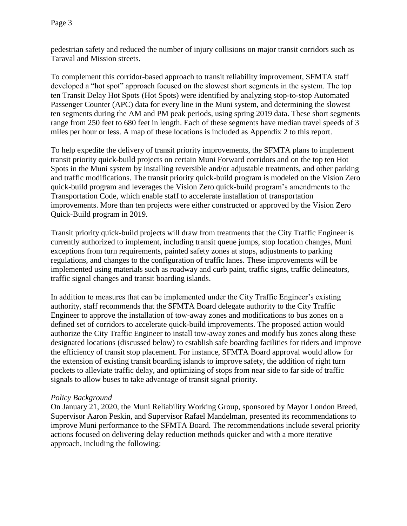pedestrian safety and reduced the number of injury collisions on major transit corridors such as Taraval and Mission streets.

To complement this corridor-based approach to transit reliability improvement, SFMTA staff developed a "hot spot" approach focused on the slowest short segments in the system. The top ten Transit Delay Hot Spots (Hot Spots) were identified by analyzing stop-to-stop Automated Passenger Counter (APC) data for every line in the Muni system, and determining the slowest ten segments during the AM and PM peak periods, using spring 2019 data. These short segments range from 250 feet to 680 feet in length. Each of these segments have median travel speeds of 3 miles per hour or less. A map of these locations is included as Appendix 2 to this report.

To help expedite the delivery of transit priority improvements, the SFMTA plans to implement transit priority quick-build projects on certain Muni Forward corridors and on the top ten Hot Spots in the Muni system by installing reversible and/or adjustable treatments, and other parking and traffic modifications. The transit priority quick-build program is modeled on the Vision Zero quick-build program and leverages the Vision Zero quick-build program's amendments to the Transportation Code, which enable staff to accelerate installation of transportation improvements. More than ten projects were either constructed or approved by the Vision Zero Quick-Build program in 2019.

Transit priority quick-build projects will draw from treatments that the City Traffic Engineer is currently authorized to implement, including transit queue jumps, stop location changes, Muni exceptions from turn requirements, painted safety zones at stops, adjustments to parking regulations, and changes to the configuration of traffic lanes. These improvements will be implemented using materials such as roadway and curb paint, traffic signs, traffic delineators, traffic signal changes and transit boarding islands.

In addition to measures that can be implemented under the City Traffic Engineer's existing authority, staff recommends that the SFMTA Board delegate authority to the City Traffic Engineer to approve the installation of tow-away zones and modifications to bus zones on a defined set of corridors to accelerate quick-build improvements. The proposed action would authorize the City Traffic Engineer to install tow-away zones and modify bus zones along these designated locations (discussed below) to establish safe boarding facilities for riders and improve the efficiency of transit stop placement. For instance, SFMTA Board approval would allow for the extension of existing transit boarding islands to improve safety, the addition of right turn pockets to alleviate traffic delay, and optimizing of stops from near side to far side of traffic signals to allow buses to take advantage of transit signal priority.

## *Policy Background*

On January 21, 2020, the Muni Reliability Working Group, sponsored by Mayor London Breed, Supervisor Aaron Peskin, and Supervisor Rafael Mandelman, presented its recommendations to improve Muni performance to the SFMTA Board. The recommendations include several priority actions focused on delivering delay reduction methods quicker and with a more iterative approach, including the following: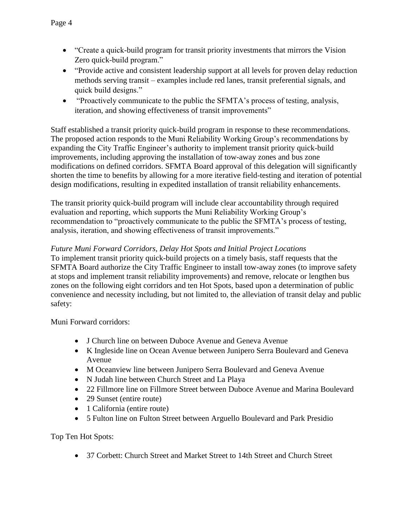- "Create a quick-build program for transit priority investments that mirrors the Vision Zero quick-build program."
- "Provide active and consistent leadership support at all levels for proven delay reduction methods serving transit – examples include red lanes, transit preferential signals, and quick build designs."
- "Proactively communicate to the public the SFMTA's process of testing, analysis, iteration, and showing effectiveness of transit improvements"

Staff established a transit priority quick-build program in response to these recommendations. The proposed action responds to the Muni Reliability Working Group's recommendations by expanding the City Traffic Engineer's authority to implement transit priority quick-build improvements, including approving the installation of tow-away zones and bus zone modifications on defined corridors. SFMTA Board approval of this delegation will significantly shorten the time to benefits by allowing for a more iterative field-testing and iteration of potential design modifications, resulting in expedited installation of transit reliability enhancements.

The transit priority quick-build program will include clear accountability through required evaluation and reporting, which supports the Muni Reliability Working Group's recommendation to "proactively communicate to the public the SFMTA's process of testing, analysis, iteration, and showing effectiveness of transit improvements."

# *Future Muni Forward Corridors, Delay Hot Spots and Initial Project Locations*

To implement transit priority quick-build projects on a timely basis, staff requests that the SFMTA Board authorize the City Traffic Engineer to install tow-away zones (to improve safety at stops and implement transit reliability improvements) and remove, relocate or lengthen bus zones on the following eight corridors and ten Hot Spots, based upon a determination of public convenience and necessity including, but not limited to, the alleviation of transit delay and public safety:

Muni Forward corridors:

- J Church line on between Duboce Avenue and Geneva Avenue
- K Ingleside line on Ocean Avenue between Junipero Serra Boulevard and Geneva Avenue
- M Oceanview line between Junipero Serra Boulevard and Geneva Avenue
- N Judah line between Church Street and La Playa
- 22 Fillmore line on Fillmore Street between Duboce Avenue and Marina Boulevard
- 29 Sunset (entire route)
- 1 California (entire route)
- 5 Fulton line on Fulton Street between Arguello Boulevard and Park Presidio

Top Ten Hot Spots:

37 Corbett: Church Street and Market Street to 14th Street and Church Street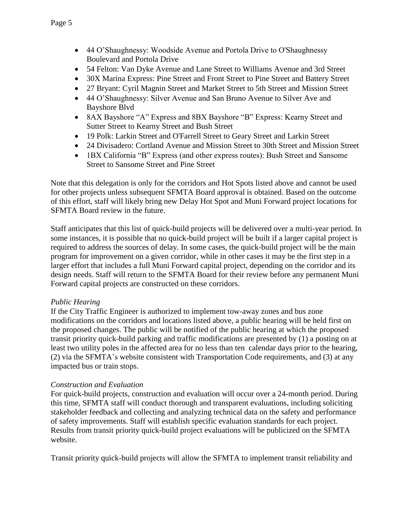- 44 O'Shaughnessy: Woodside Avenue and Portola Drive to O'Shaughnessy Boulevard and Portola Drive
- 54 Felton: Van Dyke Avenue and Lane Street to Williams Avenue and 3rd Street
- 30X Marina Express: Pine Street and Front Street to Pine Street and Battery Street
- 27 Bryant: Cyril Magnin Street and Market Street to 5th Street and Mission Street
- 44 O'Shaughnessy: Silver Avenue and San Bruno Avenue to Silver Ave and Bayshore Blvd
- 8AX Bayshore "A" Express and 8BX Bayshore "B" Express: Kearny Street and Sutter Street to Kearny Street and Bush Street
- 19 Polk: Larkin Street and O'Farrell Street to Geary Street and Larkin Street
- 24 Divisadero: Cortland Avenue and Mission Street to 30th Street and Mission Street
- 1BX California "B" Express (and other express routes): Bush Street and Sansome Street to Sansome Street and Pine Street

Note that this delegation is only for the corridors and Hot Spots listed above and cannot be used for other projects unless subsequent SFMTA Board approval is obtained. Based on the outcome of this effort, staff will likely bring new Delay Hot Spot and Muni Forward project locations for SFMTA Board review in the future.

Staff anticipates that this list of quick-build projects will be delivered over a multi-year period. In some instances, it is possible that no quick-build project will be built if a larger capital project is required to address the sources of delay. In some cases, the quick-build project will be the main program for improvement on a given corridor, while in other cases it may be the first step in a larger effort that includes a full Muni Forward capital project, depending on the corridor and its design needs. Staff will return to the SFMTA Board for their review before any permanent Muni Forward capital projects are constructed on these corridors.

## *Public Hearing*

If the City Traffic Engineer is authorized to implement tow-away zones and bus zone modifications on the corridors and locations listed above, a public hearing will be held first on the proposed changes. The public will be notified of the public hearing at which the proposed transit priority quick-build parking and traffic modifications are presented by (1) a posting on at least two utility poles in the affected area for no less than ten calendar days prior to the hearing, (2) via the SFMTA's website consistent with Transportation Code requirements, and (3) at any impacted bus or train stops.

## *Construction and Evaluation*

For quick-build projects, construction and evaluation will occur over a 24-month period. During this time, SFMTA staff will conduct thorough and transparent evaluations, including soliciting stakeholder feedback and collecting and analyzing technical data on the safety and performance of safety improvements. Staff will establish specific evaluation standards for each project. Results from transit priority quick-build project evaluations will be publicized on the SFMTA website.

Transit priority quick-build projects will allow the SFMTA to implement transit reliability and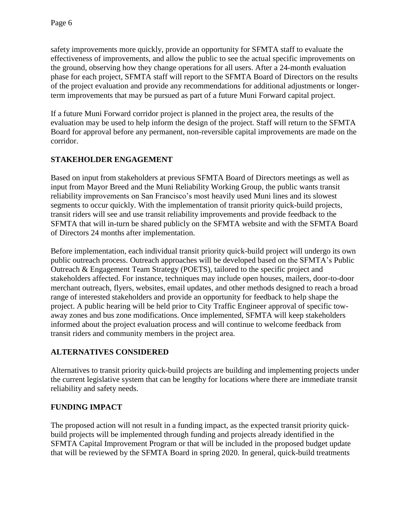safety improvements more quickly, provide an opportunity for SFMTA staff to evaluate the effectiveness of improvements, and allow the public to see the actual specific improvements on the ground, observing how they change operations for all users. After a 24-month evaluation phase for each project, SFMTA staff will report to the SFMTA Board of Directors on the results of the project evaluation and provide any recommendations for additional adjustments or longerterm improvements that may be pursued as part of a future Muni Forward capital project.

If a future Muni Forward corridor project is planned in the project area, the results of the evaluation may be used to help inform the design of the project. Staff will return to the SFMTA Board for approval before any permanent, non-reversible capital improvements are made on the corridor.

# **STAKEHOLDER ENGAGEMENT**

Based on input from stakeholders at previous SFMTA Board of Directors meetings as well as input from Mayor Breed and the Muni Reliability Working Group, the public wants transit reliability improvements on San Francisco's most heavily used Muni lines and its slowest segments to occur quickly. With the implementation of transit priority quick-build projects, transit riders will see and use transit reliability improvements and provide feedback to the SFMTA that will in-turn be shared publicly on the SFMTA website and with the SFMTA Board of Directors 24 months after implementation.

Before implementation, each individual transit priority quick-build project will undergo its own public outreach process. Outreach approaches will be developed based on the SFMTA's Public Outreach & Engagement Team Strategy (POETS), tailored to the specific project and stakeholders affected. For instance, techniques may include open houses, mailers, door-to-door merchant outreach, flyers, websites, email updates, and other methods designed to reach a broad range of interested stakeholders and provide an opportunity for feedback to help shape the project. A public hearing will be held prior to City Traffic Engineer approval of specific towaway zones and bus zone modifications. Once implemented, SFMTA will keep stakeholders informed about the project evaluation process and will continue to welcome feedback from transit riders and community members in the project area.

## **ALTERNATIVES CONSIDERED**

Alternatives to transit priority quick-build projects are building and implementing projects under the current legislative system that can be lengthy for locations where there are immediate transit reliability and safety needs.

# **FUNDING IMPACT**

The proposed action will not result in a funding impact, as the expected transit priority quickbuild projects will be implemented through funding and projects already identified in the SFMTA Capital Improvement Program or that will be included in the proposed budget update that will be reviewed by the SFMTA Board in spring 2020. In general, quick-build treatments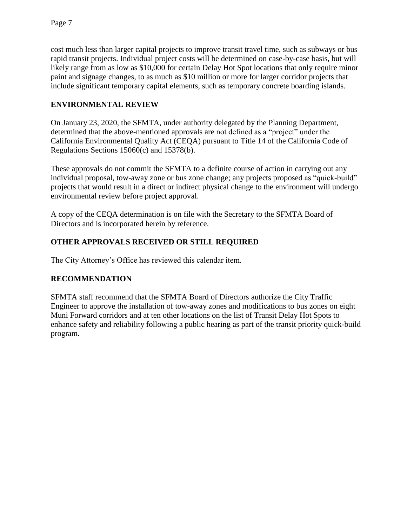cost much less than larger capital projects to improve transit travel time, such as subways or bus rapid transit projects. Individual project costs will be determined on case-by-case basis, but will likely range from as low as \$10,000 for certain Delay Hot Spot locations that only require minor paint and signage changes, to as much as \$10 million or more for larger corridor projects that include significant temporary capital elements, such as temporary concrete boarding islands.

# **ENVIRONMENTAL REVIEW**

On January 23, 2020, the SFMTA, under authority delegated by the Planning Department, determined that the above-mentioned approvals are not defined as a "project" under the California Environmental Quality Act (CEQA) pursuant to Title 14 of the California Code of Regulations Sections 15060(c) and 15378(b).

These approvals do not commit the SFMTA to a definite course of action in carrying out any individual proposal, tow-away zone or bus zone change; any projects proposed as "quick-build" projects that would result in a direct or indirect physical change to the environment will undergo environmental review before project approval.

A copy of the CEQA determination is on file with the Secretary to the SFMTA Board of Directors and is incorporated herein by reference.

# **OTHER APPROVALS RECEIVED OR STILL REQUIRED**

The City Attorney's Office has reviewed this calendar item.

## **RECOMMENDATION**

SFMTA staff recommend that the SFMTA Board of Directors authorize the City Traffic Engineer to approve the installation of tow-away zones and modifications to bus zones on eight Muni Forward corridors and at ten other locations on the list of Transit Delay Hot Spots to enhance safety and reliability following a public hearing as part of the transit priority quick-build program.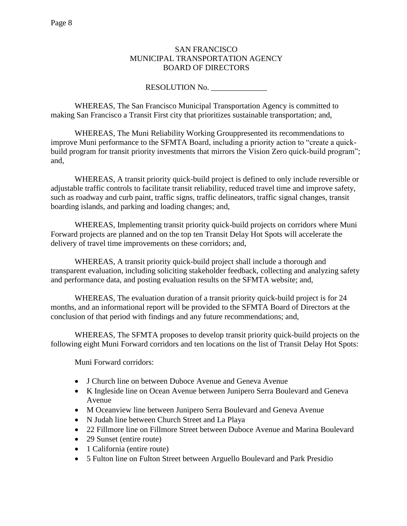#### SAN FRANCISCO MUNICIPAL TRANSPORTATION AGENCY BOARD OF DIRECTORS

#### RESOLUTION No.

WHEREAS, The San Francisco Municipal Transportation Agency is committed to making San Francisco a Transit First city that prioritizes sustainable transportation; and,

WHEREAS, The Muni Reliability Working Grouppresented its recommendations to improve Muni performance to the SFMTA Board, including a priority action to "create a quickbuild program for transit priority investments that mirrors the Vision Zero quick-build program"; and,

WHEREAS, A transit priority quick-build project is defined to only include reversible or adjustable traffic controls to facilitate transit reliability, reduced travel time and improve safety, such as roadway and curb paint, traffic signs, traffic delineators, traffic signal changes, transit boarding islands, and parking and loading changes; and,

WHEREAS, Implementing transit priority quick-build projects on corridors where Muni Forward projects are planned and on the top ten Transit Delay Hot Spots will accelerate the delivery of travel time improvements on these corridors; and,

WHEREAS, A transit priority quick-build project shall include a thorough and transparent evaluation, including soliciting stakeholder feedback, collecting and analyzing safety and performance data, and posting evaluation results on the SFMTA website; and,

WHEREAS, The evaluation duration of a transit priority quick-build project is for 24 months, and an informational report will be provided to the SFMTA Board of Directors at the conclusion of that period with findings and any future recommendations; and,

WHEREAS, The SFMTA proposes to develop transit priority quick-build projects on the following eight Muni Forward corridors and ten locations on the list of Transit Delay Hot Spots:

Muni Forward corridors:

- J Church line on between Duboce Avenue and Geneva Avenue
- K Ingleside line on Ocean Avenue between Junipero Serra Boulevard and Geneva Avenue
- M Oceanview line between Junipero Serra Boulevard and Geneva Avenue
- N Judah line between Church Street and La Playa
- 22 Fillmore line on Fillmore Street between Duboce Avenue and Marina Boulevard
- 29 Sunset (entire route)
- 1 California (entire route)
- 5 Fulton line on Fulton Street between Arguello Boulevard and Park Presidio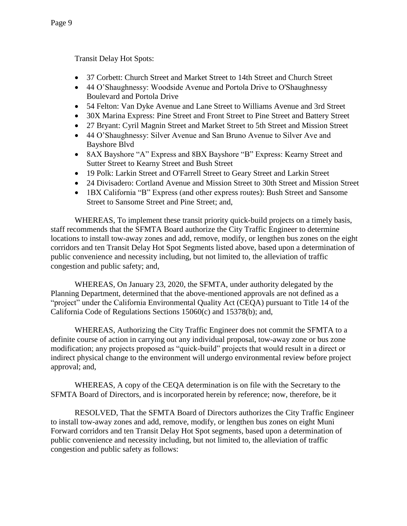Transit Delay Hot Spots:

- 37 Corbett: Church Street and Market Street to 14th Street and Church Street
- 44 O'Shaughnessy: Woodside Avenue and Portola Drive to O'Shaughnessy Boulevard and Portola Drive
- 54 Felton: Van Dyke Avenue and Lane Street to Williams Avenue and 3rd Street
- 30X Marina Express: Pine Street and Front Street to Pine Street and Battery Street
- 27 Bryant: Cyril Magnin Street and Market Street to 5th Street and Mission Street
- 44 O'Shaughnessy: Silver Avenue and San Bruno Avenue to Silver Ave and Bayshore Blvd
- 8AX Bayshore "A" Express and 8BX Bayshore "B" Express: Kearny Street and Sutter Street to Kearny Street and Bush Street
- 19 Polk: Larkin Street and O'Farrell Street to Geary Street and Larkin Street
- 24 Divisadero: Cortland Avenue and Mission Street to 30th Street and Mission Street
- 1BX California "B" Express (and other express routes): Bush Street and Sansome Street to Sansome Street and Pine Street; and,

WHEREAS, To implement these transit priority quick-build projects on a timely basis, staff recommends that the SFMTA Board authorize the City Traffic Engineer to determine locations to install tow-away zones and add, remove, modify, or lengthen bus zones on the eight corridors and ten Transit Delay Hot Spot Segments listed above, based upon a determination of public convenience and necessity including, but not limited to, the alleviation of traffic congestion and public safety; and,

WHEREAS, On January 23, 2020, the SFMTA, under authority delegated by the Planning Department, determined that the above-mentioned approvals are not defined as a "project" under the California Environmental Quality Act (CEQA) pursuant to Title 14 of the California Code of Regulations Sections 15060(c) and 15378(b); and,

WHEREAS, Authorizing the City Traffic Engineer does not commit the SFMTA to a definite course of action in carrying out any individual proposal, tow-away zone or bus zone modification; any projects proposed as "quick-build" projects that would result in a direct or indirect physical change to the environment will undergo environmental review before project approval; and,

WHEREAS, A copy of the CEQA determination is on file with the Secretary to the SFMTA Board of Directors, and is incorporated herein by reference; now, therefore, be it

RESOLVED, That the SFMTA Board of Directors authorizes the City Traffic Engineer to install tow-away zones and add, remove, modify, or lengthen bus zones on eight Muni Forward corridors and ten Transit Delay Hot Spot segments, based upon a determination of public convenience and necessity including, but not limited to, the alleviation of traffic congestion and public safety as follows: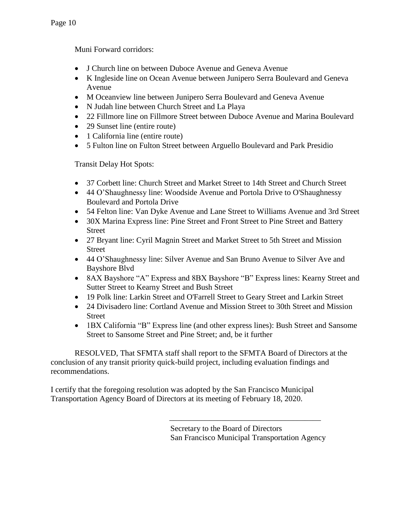Muni Forward corridors:

- J Church line on between Duboce Avenue and Geneva Avenue
- K Ingleside line on Ocean Avenue between Junipero Serra Boulevard and Geneva Avenue
- M Oceanview line between Junipero Serra Boulevard and Geneva Avenue
- N Judah line between Church Street and La Playa
- 22 Fillmore line on Fillmore Street between Duboce Avenue and Marina Boulevard
- 29 Sunset line (entire route)
- 1 California line (entire route)
- 5 Fulton line on Fulton Street between Arguello Boulevard and Park Presidio

Transit Delay Hot Spots:

- 37 Corbett line: Church Street and Market Street to 14th Street and Church Street
- 44 O'Shaughnessy line: Woodside Avenue and Portola Drive to O'Shaughnessy Boulevard and Portola Drive
- 54 Felton line: Van Dyke Avenue and Lane Street to Williams Avenue and 3rd Street
- 30X Marina Express line: Pine Street and Front Street to Pine Street and Battery Street
- 27 Bryant line: Cyril Magnin Street and Market Street to 5th Street and Mission **Street**
- 44 O'Shaughnessy line: Silver Avenue and San Bruno Avenue to Silver Ave and Bayshore Blvd
- 8AX Bayshore "A" Express and 8BX Bayshore "B" Express lines: Kearny Street and Sutter Street to Kearny Street and Bush Street
- 19 Polk line: Larkin Street and O'Farrell Street to Geary Street and Larkin Street
- 24 Divisadero line: Cortland Avenue and Mission Street to 30th Street and Mission Street
- 1BX California "B" Express line (and other express lines): Bush Street and Sansome Street to Sansome Street and Pine Street; and, be it further

RESOLVED, That SFMTA staff shall report to the SFMTA Board of Directors at the conclusion of any transit priority quick-build project, including evaluation findings and recommendations.

I certify that the foregoing resolution was adopted by the San Francisco Municipal Transportation Agency Board of Directors at its meeting of February 18, 2020.

> Secretary to the Board of Directors San Francisco Municipal Transportation Agency

\_\_\_\_\_\_\_\_\_\_\_\_\_\_\_\_\_\_\_\_\_\_\_\_\_\_\_\_\_\_\_\_\_\_\_\_\_\_